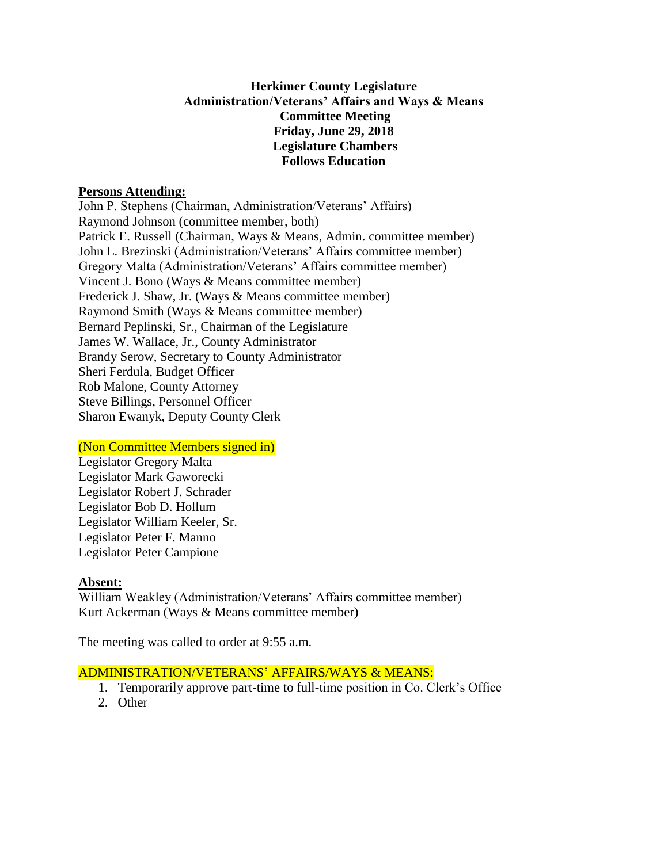## **Herkimer County Legislature Administration/Veterans' Affairs and Ways & Means Committee Meeting Friday, June 29, 2018 Legislature Chambers Follows Education**

### **Persons Attending:**

John P. Stephens (Chairman, Administration/Veterans' Affairs) Raymond Johnson (committee member, both) Patrick E. Russell (Chairman, Ways & Means, Admin. committee member) John L. Brezinski (Administration/Veterans' Affairs committee member) Gregory Malta (Administration/Veterans' Affairs committee member) Vincent J. Bono (Ways & Means committee member) Frederick J. Shaw, Jr. (Ways & Means committee member) Raymond Smith (Ways & Means committee member) Bernard Peplinski, Sr., Chairman of the Legislature James W. Wallace, Jr., County Administrator Brandy Serow, Secretary to County Administrator Sheri Ferdula, Budget Officer Rob Malone, County Attorney Steve Billings, Personnel Officer Sharon Ewanyk, Deputy County Clerk

## (Non Committee Members signed in)

Legislator Gregory Malta Legislator Mark Gaworecki Legislator Robert J. Schrader Legislator Bob D. Hollum Legislator William Keeler, Sr. Legislator Peter F. Manno Legislator Peter Campione

#### **Absent:**

William Weakley (Administration/Veterans' Affairs committee member) Kurt Ackerman (Ways & Means committee member)

The meeting was called to order at 9:55 a.m.

## ADMINISTRATION/VETERANS' AFFAIRS/WAYS & MEANS:

- 1. Temporarily approve part-time to full-time position in Co. Clerk's Office
- 2. Other